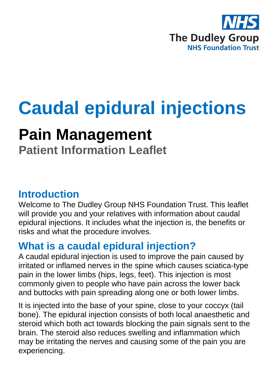

# **Caudal epidural injections**

## **Pain Management**

**Patient Information Leaflet**

### **Introduction**

Welcome to The Dudley Group NHS Foundation Trust. This leaflet will provide you and your relatives with information about caudal epidural injections. It includes what the injection is, the benefits or risks and what the procedure involves.

## **What is a caudal epidural injection?**

A caudal epidural injection is used to improve the pain caused by irritated or inflamed nerves in the spine which causes sciatica-type pain in the lower limbs (hips, legs, feet). This injection is most commonly given to people who have pain across the lower back and buttocks with pain spreading along one or both lower limbs.

It is injected into the base of your spine, close to your coccyx (tail bone). The epidural injection consists of both local anaesthetic and steroid which both act towards blocking the pain signals sent to the brain. The steroid also reduces swelling and inflammation which may be irritating the nerves and causing some of the pain you are experiencing.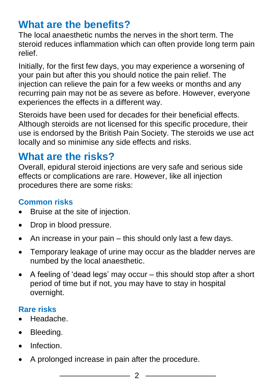## **What are the benefits?**

The local anaesthetic numbs the nerves in the short term. The steroid reduces inflammation which can often provide long term pain relief.

Initially, for the first few days, you may experience a worsening of your pain but after this you should notice the pain relief. The injection can relieve the pain for a few weeks or months and any recurring pain may not be as severe as before. However, everyone experiences the effects in a different way.

Steroids have been used for decades for their beneficial effects. Although steroids are not licensed for this specific procedure, their use is endorsed by the British Pain Society. The steroids we use act locally and so minimise any side effects and risks.

## **What are the risks?**

Overall, epidural steroid injections are very safe and serious side effects or complications are rare. However, like all injection procedures there are some risks:

#### **Common risks**

- Bruise at the site of injection.
- Drop in blood pressure.
- An increase in your pain this should only last a few days.
- Temporary leakage of urine may occur as the bladder nerves are numbed by the local anaesthetic.
- A feeling of 'dead legs' may occur this should stop after a short period of time but if not, you may have to stay in hospital overnight.

#### **Rare risks**

- Headache.
- Bleeding.
- **•** Infection
- A prolonged increase in pain after the procedure.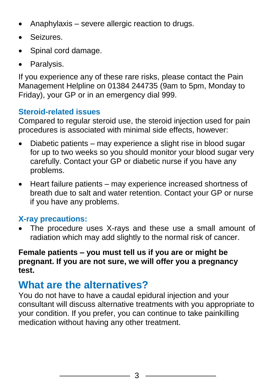- Anaphylaxis severe allergic reaction to drugs.
- Seizures.
- Spinal cord damage.
- Paralysis.

If you experience any of these rare risks, please contact the Pain Management Helpline on 01384 244735 (9am to 5pm, Monday to Friday), your GP or in an emergency dial 999.

#### **Steroid-related issues**

Compared to regular steroid use, the steroid injection used for pain procedures is associated with minimal side effects, however:

- Diabetic patients may experience a slight rise in blood sugar for up to two weeks so you should monitor your blood sugar very carefully. Contact your GP or diabetic nurse if you have any problems.
- Heart failure patients may experience increased shortness of breath due to salt and water retention. Contact your GP or nurse if you have any problems.

#### **X-ray precautions:**

 The procedure uses X-rays and these use a small amount of radiation which may add slightly to the normal risk of cancer.

#### **Female patients – you must tell us if you are or might be pregnant. If you are not sure, we will offer you a pregnancy test.**

## **What are the alternatives?**

You do not have to have a caudal epidural injection and your consultant will discuss alternative treatments with you appropriate to your condition. If you prefer, you can continue to take painkilling medication without having any other treatment.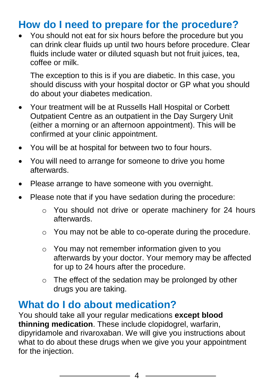## **How do I need to prepare for the procedure?**

 You should not eat for six hours before the procedure but you can drink clear fluids up until two hours before procedure. Clear fluids include water or diluted squash but not fruit juices, tea, coffee or milk.

The exception to this is if you are diabetic. In this case, you should discuss with your hospital doctor or GP what you should do about your diabetes medication.

- Your treatment will be at Russells Hall Hospital or Corbett Outpatient Centre as an outpatient in the Day Surgery Unit (either a morning or an afternoon appointment). This will be confirmed at your clinic appointment.
- You will be at hospital for between two to four hours.
- You will need to arrange for someone to drive you home afterwards.
- Please arrange to have someone with you overnight.
- Please note that if you have sedation during the procedure:
	- o You should not drive or operate machinery for 24 hours afterwards.
	- o You may not be able to co-operate during the procedure.
	- o You may not remember information given to you afterwards by your doctor. Your memory may be affected for up to 24 hours after the procedure.
	- o The effect of the sedation may be prolonged by other drugs you are taking.

## **What do I do about medication?**

You should take all your regular medications **except blood thinning medication**. These include clopidogrel, warfarin, dipyridamole and rivaroxaban. We will give you instructions about what to do about these drugs when we give you your appointment for the injection.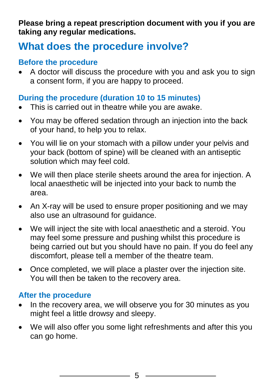**Please bring a repeat prescription document with you if you are taking any regular medications.**

## **What does the procedure involve?**

#### **Before the procedure**

 A doctor will discuss the procedure with you and ask you to sign a consent form, if you are happy to proceed.

#### **During the procedure (duration 10 to 15 minutes)**

- This is carried out in theatre while you are awake.
- You may be offered sedation through an injection into the back of your hand, to help you to relax.
- You will lie on your stomach with a pillow under your pelvis and your back (bottom of spine) will be cleaned with an antiseptic solution which may feel cold.
- We will then place sterile sheets around the area for injection. A local anaesthetic will be injected into your back to numb the area.
- An X-ray will be used to ensure proper positioning and we may also use an ultrasound for guidance.
- We will inject the site with local anaesthetic and a steroid. You may feel some pressure and pushing whilst this procedure is being carried out but you should have no pain. If you do feel any discomfort, please tell a member of the theatre team.
- Once completed, we will place a plaster over the injection site. You will then be taken to the recovery area.

#### **After the procedure**

- In the recovery area, we will observe you for 30 minutes as you might feel a little drowsy and sleepy.
- We will also offer you some light refreshments and after this you can go home.

5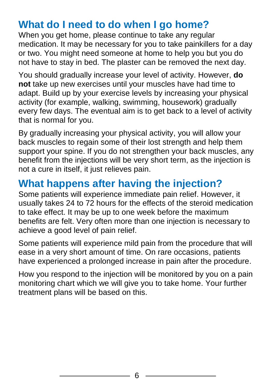## **What do I need to do when I go home?**

When you get home, please continue to take any regular medication. It may be necessary for you to take painkillers for a day or two. You might need someone at home to help you but you do not have to stay in bed. The plaster can be removed the next day.

You should gradually increase your level of activity. However, **do not** take up new exercises until your muscles have had time to adapt. Build up by your exercise levels by increasing your physical activity (for example, walking, swimming, housework) gradually every few days. The eventual aim is to get back to a level of activity that is normal for you.

By gradually increasing your physical activity, you will allow your back muscles to regain some of their lost strength and help them support your spine. If you do not strengthen your back muscles, any benefit from the injections will be very short term, as the injection is not a cure in itself, it just relieves pain.

## **What happens after having the injection?**

Some patients will experience immediate pain relief. However, it usually takes 24 to 72 hours for the effects of the steroid medication to take effect. It may be up to one week before the maximum benefits are felt. Very often more than one injection is necessary to achieve a good level of pain relief.

Some patients will experience mild pain from the procedure that will ease in a very short amount of time. On rare occasions, patients have experienced a prolonged increase in pain after the procedure.

How you respond to the injection will be monitored by you on a pain monitoring chart which we will give you to take home. Your further treatment plans will be based on this.